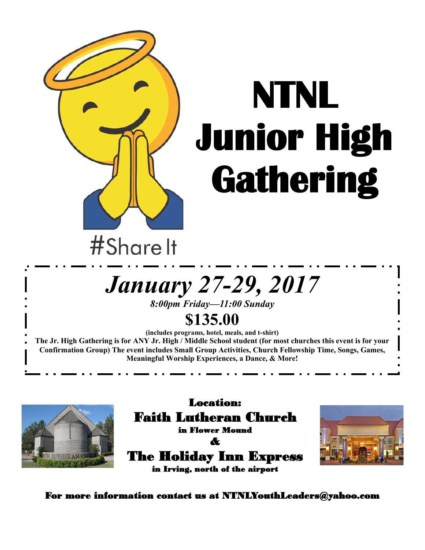

# **NTNL Junior High Gathering**

## #Share It

# *January 27-29, 2017*

*8:00pm Friday—11:00 Sunday*

### **\$135.00**

**(includes programs, hotel, meals, and t-shirt) The Jr. High Gathering is for ANY Jr. High / Middle School student (for most churches this event is for your Confirmation Group) The event includes Small Group Activities, Church Fellowship Time, Songs, Games, Meaningful Worship Experiences, a Dance, & More!** 



Location: Faith Lutheran Church in Flower Mound & The Holiday Inn Express



For more information contact us at NTNLYouthLeaders@yahoo.com

in Irving, north of the airport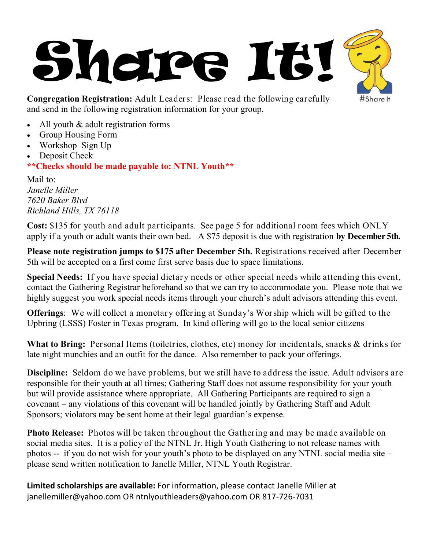



**Congregation Registration:** Adult Leaders: Please read the following carefully and send in the following registration information for your group.

- All youth & adult registration forms
- Group Housing Form
- Workshop Sign Up
- Deposit Check

**\*\*Checks should be made payable to: NTNL Youth\*\***

Mail to: *Janelle Miller 7620 Baker Blvd Richland Hills, TX 76118*

**Cost:** \$135 for youth and adult participants. See page 5 for additional room fees which ONLY apply if a youth or adult wants their own bed. A \$75 deposit is due with registration **by December 5th.** 

**Please note registration jumps to \$175 after December 5th.** Registrations received after December 5th will be accepted on a first come first serve basis due to space limitations.

**Special Needs:** If you have special dietary needs or other special needs while attending this event, contact the Gathering Registrar beforehand so that we can try to accommodate you. Please note that we highly suggest you work special needs items through your church's adult advisors attending this event.

**Offerings**: We will collect a monetary offering at Sunday's Worship which will be gifted to the Upbring (LSSS) Foster in Texas program. In kind offering will go to the local senior citizens

**What to Bring:** Personal Items (toiletries, clothes, etc) money for incidentals, snacks & drinks for late night munchies and an outfit for the dance. Also remember to pack your offerings.

**Discipline:** Seldom do we have problems, but we still have to address the issue. Adult advisors are responsible for their youth at all times; Gathering Staff does not assume responsibility for your youth but will provide assistance where appropriate. All Gathering Participants are required to sign a covenant – any violations of this covenant will be handled jointly by Gathering Staff and Adult Sponsors; violators may be sent home at their legal guardian's expense.

**Photo Release:** Photos will be taken throughout the Gathering and may be made available on social media sites. It is a policy of the NTNL Jr. High Youth Gathering to not release names with photos -- if you do not wish for your youth's photo to be displayed on any NTNL social media site – please send written notification to Janelle Miller, NTNL Youth Registrar.

**Limited scholarships are available:** For information, please contact Janelle Miller at janellemiller@yahoo.com OR ntnlyouthleaders@yahoo.com OR 817-726-7031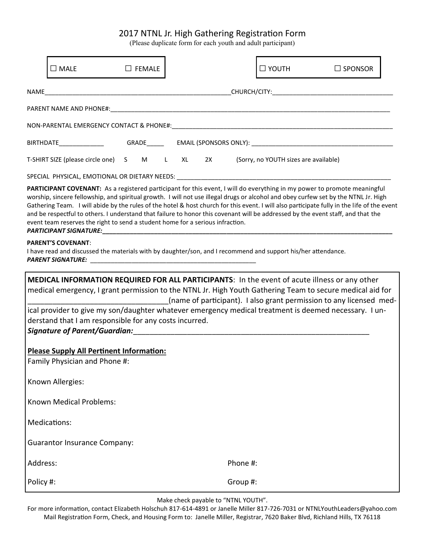#### 2017 NTNL Jr. High Gathering Registration Form

(Please duplicate form for each youth and adult participant)

|                  | $\square$ Male                                                                                                                                                                                                                                                                                                                                                                             | $\Box$ FEMALE |  |  |          | $\square$ YOUTH | $\Box$ SPONSOR                                                                                                                                                                                                                                                                                                                                                                                                 |  |
|------------------|--------------------------------------------------------------------------------------------------------------------------------------------------------------------------------------------------------------------------------------------------------------------------------------------------------------------------------------------------------------------------------------------|---------------|--|--|----------|-----------------|----------------------------------------------------------------------------------------------------------------------------------------------------------------------------------------------------------------------------------------------------------------------------------------------------------------------------------------------------------------------------------------------------------------|--|
|                  |                                                                                                                                                                                                                                                                                                                                                                                            |               |  |  |          |                 |                                                                                                                                                                                                                                                                                                                                                                                                                |  |
|                  |                                                                                                                                                                                                                                                                                                                                                                                            |               |  |  |          |                 |                                                                                                                                                                                                                                                                                                                                                                                                                |  |
|                  |                                                                                                                                                                                                                                                                                                                                                                                            |               |  |  |          |                 |                                                                                                                                                                                                                                                                                                                                                                                                                |  |
|                  |                                                                                                                                                                                                                                                                                                                                                                                            |               |  |  |          |                 |                                                                                                                                                                                                                                                                                                                                                                                                                |  |
|                  | T-SHIRT SIZE (please circle one) S M L XL 2X (Sorry, no YOUTH sizes are available)                                                                                                                                                                                                                                                                                                         |               |  |  |          |                 |                                                                                                                                                                                                                                                                                                                                                                                                                |  |
|                  |                                                                                                                                                                                                                                                                                                                                                                                            |               |  |  |          |                 |                                                                                                                                                                                                                                                                                                                                                                                                                |  |
|                  | and be respectful to others. I understand that failure to honor this covenant will be addressed by the event staff, and that the<br>event team reserves the right to send a student home for a serious infraction.                                                                                                                                                                         |               |  |  |          |                 | PARTICIPANT COVENANT: As a registered participant for this event, I will do everything in my power to promote meaningful<br>worship, sincere fellowship, and spiritual growth. I will not use illegal drugs or alcohol and obey curfew set by the NTNL Jr. High<br>Gathering Team. I will abide by the rules of the hotel & host church for this event. I will also participate fully in the life of the event |  |
|                  | <b>PARENT'S COVENANT:</b><br>I have read and discussed the materials with by daughter/son, and I recommend and support his/her attendance.                                                                                                                                                                                                                                                 |               |  |  |          |                 |                                                                                                                                                                                                                                                                                                                                                                                                                |  |
|                  | MEDICAL INFORMATION REQUIRED FOR ALL PARTICIPANTS: In the event of acute illness or any other<br>medical emergency, I grant permission to the NTNL Jr. High Youth Gathering Team to secure medical aid for<br>(name of participant). I also grant permission to any licensed med-<br>ical provider to give my son/daughter whatever emergency medical treatment is deemed necessary. I un- |               |  |  |          |                 |                                                                                                                                                                                                                                                                                                                                                                                                                |  |
|                  | derstand that I am responsible for any costs incurred.                                                                                                                                                                                                                                                                                                                                     |               |  |  |          |                 |                                                                                                                                                                                                                                                                                                                                                                                                                |  |
|                  |                                                                                                                                                                                                                                                                                                                                                                                            |               |  |  |          |                 |                                                                                                                                                                                                                                                                                                                                                                                                                |  |
|                  | Please Supply All Pertinent Information:<br>Family Physician and Phone #:                                                                                                                                                                                                                                                                                                                  |               |  |  |          |                 |                                                                                                                                                                                                                                                                                                                                                                                                                |  |
| Known Allergies: |                                                                                                                                                                                                                                                                                                                                                                                            |               |  |  |          |                 |                                                                                                                                                                                                                                                                                                                                                                                                                |  |
|                  | <b>Known Medical Problems:</b>                                                                                                                                                                                                                                                                                                                                                             |               |  |  |          |                 |                                                                                                                                                                                                                                                                                                                                                                                                                |  |
|                  | Medications:                                                                                                                                                                                                                                                                                                                                                                               |               |  |  |          |                 |                                                                                                                                                                                                                                                                                                                                                                                                                |  |
|                  | <b>Guarantor Insurance Company:</b>                                                                                                                                                                                                                                                                                                                                                        |               |  |  |          |                 |                                                                                                                                                                                                                                                                                                                                                                                                                |  |
| Address:         |                                                                                                                                                                                                                                                                                                                                                                                            |               |  |  | Phone #: |                 |                                                                                                                                                                                                                                                                                                                                                                                                                |  |
| Policy #:        |                                                                                                                                                                                                                                                                                                                                                                                            |               |  |  | Group #: |                 |                                                                                                                                                                                                                                                                                                                                                                                                                |  |

Make check payable to "NTNL YOUTH".

For more information, contact Elizabeth Holschuh 817-614-4891 or Janelle Miller 817-726-7031 or NTNLYouthLeaders@yahoo.com Mail Registration Form, Check, and Housing Form to: Janelle Miller, Registrar, 7620 Baker Blvd, Richland Hills, TX 76118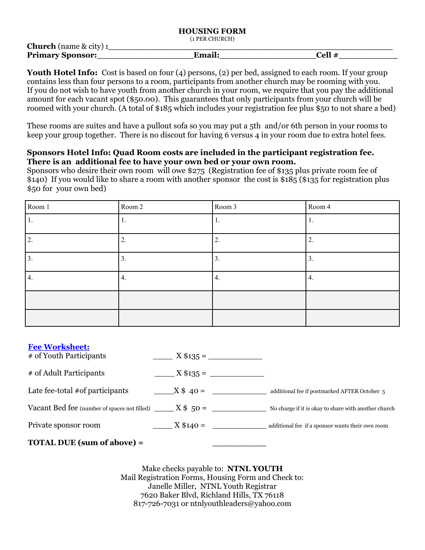#### **HOUSING FORM**

(1 PER CHURCH)

| <b>Church</b> (name $\&$ city): |        |        |  |
|---------------------------------|--------|--------|--|
| <b>Primary Sponsor:</b>         | Email: | Cell # |  |

Youth Hotel Info: Cost is based on four (4) persons, (2) per bed, assigned to each room. If your group contains less than four persons to a room, participants from another church may be rooming with you. If you do not wish to have youth from another church in your room, we require that you pay the additional amount for each vacant spot (\$50.00). This guarantees that only participants from your church will be roomed with your church. (A total of \$185 which includes your registration fee plus \$50 to not share a bed)

These rooms are suites and have a pullout sofa so you may put a 5th and/or 6th person in your rooms to keep your group together. There is no discout for having 6 versus 4 in your room due to extra hotel fees.

#### **Sponsors Hotel Info: Quad Room costs are included in the participant registration fee. There is an additional fee to have your own bed or your own room.**

Sponsors who desire their own room will owe \$275 (Registration fee of \$135 plus private room fee of \$140) If you would like to share a room with another sponsor the cost is \$185 (\$135 for registration plus \$50 for your own bed)

| Room 1           | Room 2           | Room 3 | Room 4          |
|------------------|------------------|--------|-----------------|
|                  |                  |        |                 |
| $\overline{2}$ . | 2.               | 2.     | ∠.              |
| 3.               | $\mathfrak{I}$ . | 3.     | $\mathfrak{I}.$ |
| 4.               | 4.               | 4.     | 4.              |
|                  |                  |        |                 |
|                  |                  |        |                 |

| <b>Fee Worksheet:</b><br># of Youth Participants         | $\frac{1}{2}$ X \$135 = $\frac{1}{2}$ |                                                      |
|----------------------------------------------------------|---------------------------------------|------------------------------------------------------|
| # of Adult Participants                                  |                                       |                                                      |
| Late fee-total #of participants                          | $X$ \$ 40 =                           | additional fee if postmarked AFTER October 5         |
| Vacant Bed fee (number of spaces not filled) $X$ \$ 50 = |                                       | No charge if it is okay to share with another church |
| Private sponsor room                                     | $X$ \$140 =                           | additional fee if a sponsor wants their own room     |
|                                                          |                                       |                                                      |

**TOTAL DUE (sum of above) = \_\_\_\_\_\_\_\_\_\_**

Make checks payable to: **NTNL YOUTH** Mail Registration Forms, Housing Form and Check to: Janelle Miller, NTNL Youth Registrar 7620 Baker Blvd, Richland Hills, TX 76118 817-726-7031 or ntnlyouthleaders@yahoo.com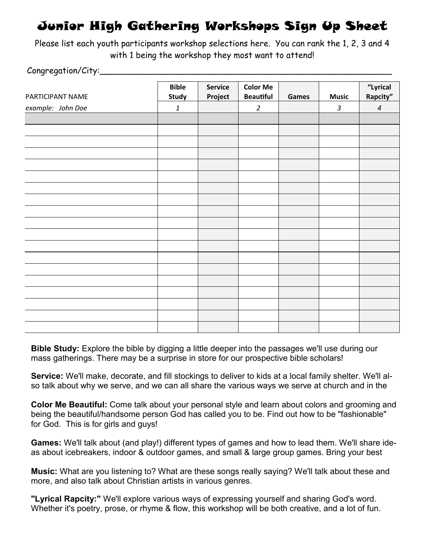### Junior High Gathering Workshops Sign Up Sheet

Please list each youth participants workshop selections here. You can rank the 1, 2, 3 and 4 with 1 being the workshop they most want to attend!

Congregation/City:

| PARTICIPANT NAME  | <b>Bible</b><br>Study     | <b>Service</b><br>Project | <b>Color Me</b><br><b>Beautiful</b> | Games | <b>Music</b>   | "Lyrical<br>Rapcity" |
|-------------------|---------------------------|---------------------------|-------------------------------------|-------|----------------|----------------------|
|                   |                           |                           |                                     |       |                |                      |
| example: John Doe | $\ensuremath{\mathbf{1}}$ |                           | $\overline{2}$                      |       | $\mathfrak{Z}$ | $\sqrt{4}$           |
|                   |                           |                           |                                     |       |                |                      |
|                   |                           |                           |                                     |       |                |                      |
|                   |                           |                           |                                     |       |                |                      |
|                   |                           |                           |                                     |       |                |                      |
|                   |                           |                           |                                     |       |                |                      |
|                   |                           |                           |                                     |       |                |                      |
|                   |                           |                           |                                     |       |                |                      |
|                   |                           |                           |                                     |       |                |                      |
|                   |                           |                           |                                     |       |                |                      |
|                   |                           |                           |                                     |       |                |                      |
|                   |                           |                           |                                     |       |                |                      |
|                   |                           |                           |                                     |       |                |                      |
|                   |                           |                           |                                     |       |                |                      |
|                   |                           |                           |                                     |       |                |                      |
|                   |                           |                           |                                     |       |                |                      |
|                   |                           |                           |                                     |       |                |                      |
|                   |                           |                           |                                     |       |                |                      |
|                   |                           |                           |                                     |       |                |                      |
|                   |                           |                           |                                     |       |                |                      |

**Bible Study:** Explore the bible by digging a little deeper into the passages we'll use during our mass gatherings. There may be a surprise in store for our prospective bible scholars!

**Service:** We'll make, decorate, and fill stockings to deliver to kids at a local family shelter. We'll also talk about why we serve, and we can all share the various ways we serve at church and in the

**Color Me Beautiful:** Come talk about your personal style and learn about colors and grooming and being the beautiful/handsome person God has called you to be. Find out how to be "fashionable" for God. This is for girls and guys!

**Games:** We'll talk about (and play!) different types of games and how to lead them. We'll share ideas about icebreakers, indoor & outdoor games, and small & large group games. Bring your best

**Music:** What are you listening to? What are these songs really saying? We'll talk about these and more, and also talk about Christian artists in various genres.

**"Lyrical Rapcity:"** We'll explore various ways of expressing yourself and sharing God's word. Whether it's poetry, prose, or rhyme & flow, this workshop will be both creative, and a lot of fun.